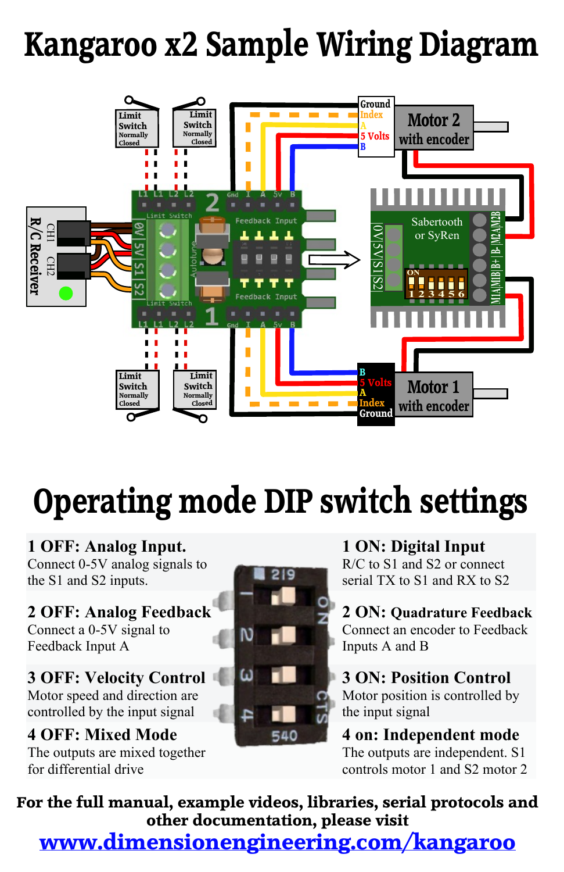## **Kangaroo x2 Sample Wiring Diagram**



**1 OFF: Analog Input.** Connect 0-5V analog signals to the S1 and S2 inputs.

**2 OFF: Analog Feedback** Connect a 0-5V signal to Feedback Input A

**3 OFF: Velocity Control** Motor speed and direction are controlled by the input signal

**4 OFF: Mixed Mode** The outputs are mixed together for differential drive



**1 ON: Digital Input** R/C to S1 and S2 or connect serial TX to S1 and RX to S2

**2 ON: Quadrature Feedback** Connect an encoder to Feedback Inputs A and B

**3 ON: Position Control** Motor position is controlled by the input signal

**4 on: Independent mode** The outputs are independent. S1 controls motor 1 and S2 motor 2

**For the full manual, example videos, libraries, serial protocols and other documentation, please visit**

**www.dimensionengineering.com/kangaroo**